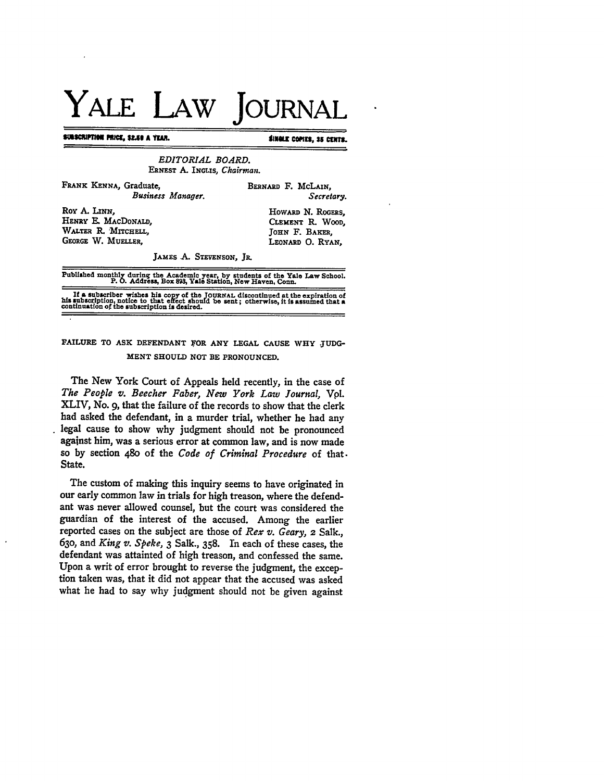## **SUBSCRIPTION PRICE, S2.58 A YEAR. A BOOK COPIES, 25 CENTS.**

## *EDITORIAL BOARD.* **ERNEST A. InGLis,** *Chairman.*

| FRANK KENNA, Graduate,  | BERNARD F. MCLAIN. |
|-------------------------|--------------------|
| Business Manager.       | Secretary.         |
| Roy A. LINN.            | HOWARD N. ROGERS.  |
| HENRY E. MACDONALD,     | CLEMENT R. WOOD,   |
| WALTER R. MITCHELL.     | JOHN F. BAKER,     |
| GEORGE W. MUELLER.      | LEONARD O. RYAN.   |
| JAMES A. STEVENSON, JR. |                    |

| Published monthly during the Academic year, by students of the Yale Law School.<br>P. O. Address, Box 893, Yale Station, New Haven, Conn.                                                                                |
|--------------------------------------------------------------------------------------------------------------------------------------------------------------------------------------------------------------------------|
| If a subscriber wishes his copy of the JOURNAL discontinued at the expiration of his subscription, notice to that effect should be sent; otherwise, it is assumed that a<br>continuation of the subscription is desired. |

## **FAILURE** TO **ASK DEFENDANT** FOR **ANY LEGAL CAUSE** WHY **.JUDG-MENT SHOULD NOT** BE **PRONOUNCED.**

The New York Court of Appeals held recently, in the case of *The People v. Beecher Faber, New York Law Journal,* **Vpl.** XLIV, No. **9,** that the failure of the records to show that the clerk had asked the defendant, in a murder trial, whether he had any legal cause to show why judgment should not be pronounced against him, was a serious error at common law, and is now made so **by** section **48o** of the *Code of Criminal Procedure* of that. State.

The custom of making this inquiry seems to have originated in our early common law in trials for high treason, where the defendant was never allowed counsel, but the court was considered the guardian of the interest of the accused. Among the earlier reported cases on the subject are those of *Rex v. Geary,* **2** Salk., <sup>63</sup>o, and *King v. Speke,* **3** Salk., **358.** In each of these cases, the defendant was attainted of high treason, and confessed the same. Upon a writ of error brought to reverse the judgment, the exception taken was, that it did not appear that the accused was asked what he had to say why judgment should not be given against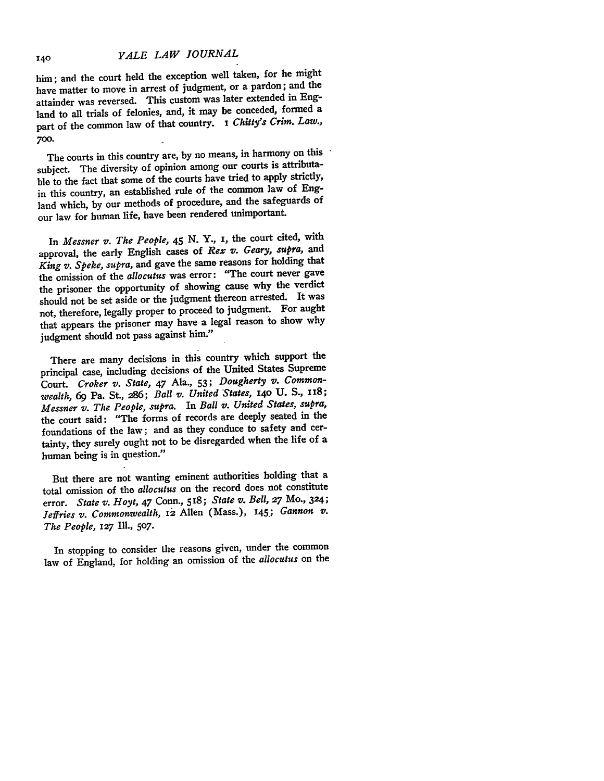him; and the court held the exception well taken, for he might have matter to move in arrest of judgment, or a pardon; and the attainder was reversed. This custom was later extended in England to all trials of felonies, and, it may be conceded, formed a part of the common law of that country. **i** *Chitty's Crim. Law.,* **700.**

The courts in this country are, **by** no means, in harmony on this subject. The diversity of opinion among our courts is attributa**ble** to the fact that some of the courts have tried to apply strictly, in this country, an established rule of the common law of England which, **by** our methods of procedure, and the safeguards of our law for human life, have been rendered unimportant.

In *Messner v. The People, 45* **N.** Y., **i,** the court cited, with approval, the early English cases of *Rex v. Geary, supra,* and *King v. Speke, supra,* and gave the same reasons for holding that the omission of the *allocutus* was error: "The court never gave the prisoner the opportunity of showing cause why the verdict should not be set aside or the judgment thereon arrested. It was not, therefore, legally proper to proceed to judgment. For aught that appears the prisoner may have a legal reason **to** show why judgment should not pass against him."

There are many decisions in this country which support the principal case, including decisions of the United States Supreme Court. *Croker v. State, 47* Ala., **53;** *Dougherty v. Commonwealth,* 69 Pa. St., **286;** *Ball v. United States,* **14o U. S., i18;** *Messner v. The People, supra.* In *Ball v. United States, supra,* the court said: "The forms of records are deeply seated in the foundations of the law; and as they conduce to safety and certainty, they surely ought not to be disregarded when the life of a human being is in question."

But there are not wanting eminent authorities holding that a total omission of the *allocutus* on the record does not constitute error. *State v. Hoyt,* 47 Conn., 518; *State v. Bell,* **27** MO., **324;** *Jeffries v. Commonwealth, i2* Allen (Mass.), **145.;** *Gannon v. The People,* **127** Ill., **507.**

In stopping to consider the reasons given, under the common law of England. for holding an omission of the *allocutus* on the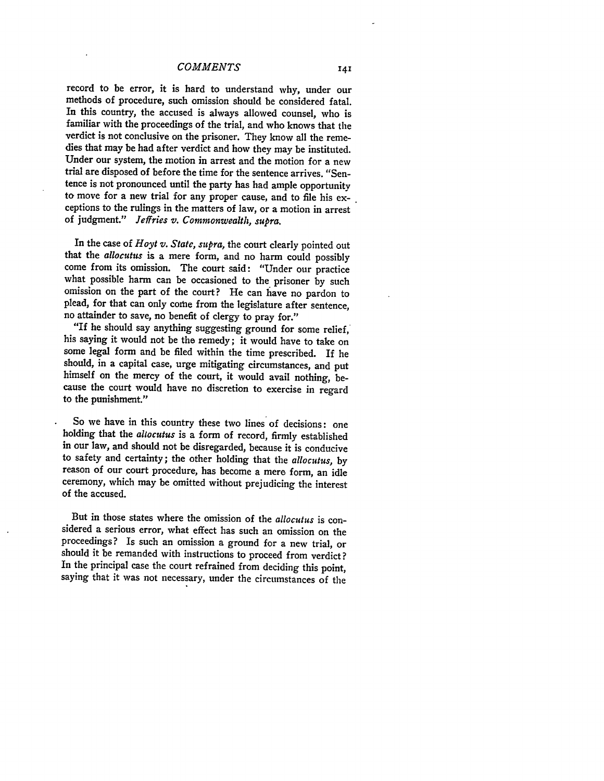record to be error, it is hard to understand why, under our methods of procedure, such omission should be considered fatal. In this country, the accused is always allowed counsel, who is familiar with the proceedings of the trial, and who knows that **the** verdict is not conclusive on the prisoner. They know all the remedies that may be had after verdict and how they may be instituted. Under our system, the motion in arrest and the motion for a new trial are disposed of before the time for the sentence arrives. "Sentence is not pronounced until the party has had ample opportunity to move for a new trial for any proper cause, and to file his exceptions to the rulings in the matters of law, or a motion in arrest of judgment." *Jeffries v. Commonwealth, supra.*

In the case of *Hoyt v. State, supra,* the court clearly pointed out that the *allocutus* is a mere form, and no harm could possibly come from its omission. The court said: "Under our practice what possible harm can be occasioned to the prisoner **by** such omission on the part of the court? He can have no pardon to plead, for that can only come from the legislature after sentence, no attainder to save, no benefit of clergy to pray for."

"If he should say anything suggesting ground for some relief, his saying it would not be the remedy; it would have to take on some legal form and be filed within the time prescribed. If he should, in a capital case, urge mitigating circumstances, and put himself on the mercy of the court, it would avail nothing, because the court would have no discretion to exercise in regard to the punishment."

So we have in this country these two lines of decisions: one holding that the *alIocutus* is a form of record, firmly established in our law, and should not be disregarded, because it is conducive to safety and certainty; the other holding that the *allocutus,* **by** reason of our court procedure, has become a mere form, an idle ceremony, which may be omitted without prejudicing the interest of the accused.

But in those states where the omission of the *allocutus* is considered a serious error, what effect has such an omission on the proceedings? Is such an omission a ground for a new trial, or should it be remanded with instructions to proceed from verdict? In the principal case the court refrained from deciding this point, saying that it was not necessary, under the circumstances of the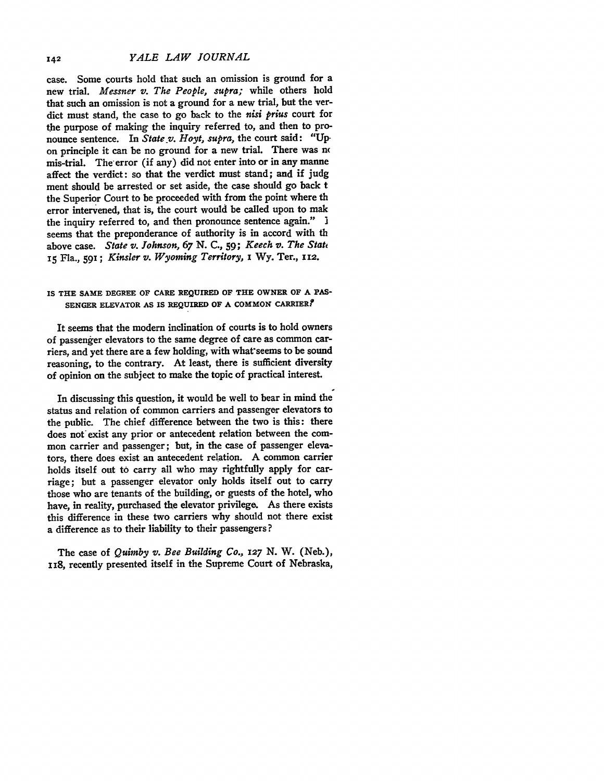case. Some courts hold that such an omission is ground for a new trial. *Messner v. The People, supra;* while others hold that such an omission is not a ground for a new trial, but the verdict must stand, the case to go back to the *nisi prius* court for the purpose of making the inquiry referred to, and then to pronounce sentence. In *State v. Hoyt, supra,* the court said: **"Up**on principle it can be no ground for a new trial. There was no mis-trial. The error (if any) did not enter into or in any manne affect the verdict: so that the verdict must stand; and if **judg** ment should be arrested or set aside, the case should go back t the Superior Court to be proceeded with from the point where th error intervened, that is, the court would be called upon to mak the inquiry referred to, and then pronounce sentence again." **I** seems that the preponderance of authority is in accord with th above case. *State v. Johnson, 67* **N.** *C.,* **59;** *Keech v. The Stat,* **i5** Fla., 591 **;** *Kinsler v. Wyoming Territory,* **I Wy.** Ter., **112.**

## IS THE SAME DEGREE OF CARE **REQUIRED** OF THE OWNER OF A PAS-**SENGER** ELEVATOR **AS IS** REQUIRED OF **A** COMMON CARRIER?

It seems that the modern inclination of courts is to hold owners of passenger elevators to the same degree of care as common carriers, and yet there are a few holding, with what'seems to be sound reasoning, to the contrary. At least, there is sufficient diversity of opinion on the subject to make the topic of practical interest.

In discussing this question, it would be well to bear in mind the status and relation of common carriers and passenger elevators to the public. The chief difference between the two is this: there does not exist any prior or antecedent relation between the common carrier and passenger; but, in the case of passenger elevators, there does exist an antecedent relation. A common carrier holds itself out to carry all who may rightfully apply for carriage; **but** a passenger elevator only holds itself out to carry those who are tenants of the building, or guests of the hotel, who have, in reality, purchased the elevator privilege. As there exists this difference in these two carriers why should not there exist a difference as to their liability to their passengers?

The case of *Quimby v. Bee Building Co., 127* **N.** W. (Neb.), 118, recently presented itself in the Supreme Court of Nebraska,

142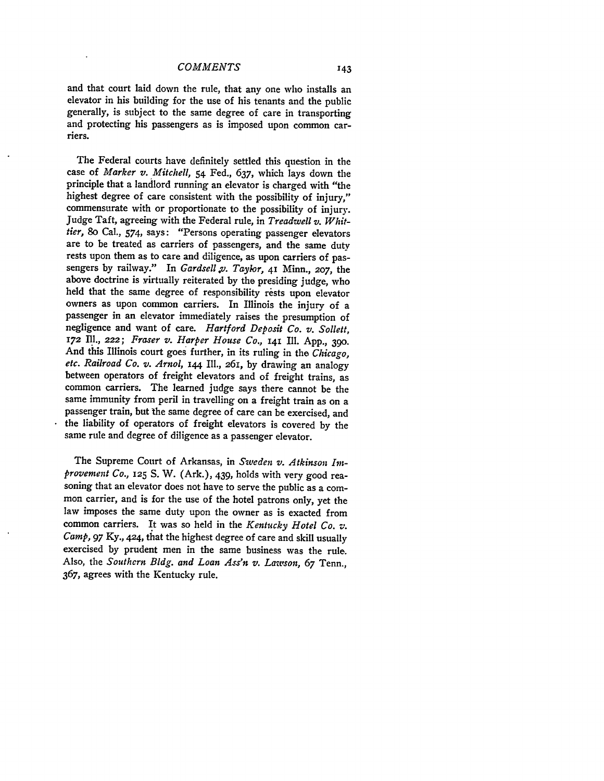and that court laid down the rule, that any one who installs an elevator in his building for the use of his tenants and the public generally, is subject to the same degree of care in transporting and protecting his passengers as is imposed upon common carriers.

The Federal courts have definitely settled this question in the case of *Marker v. Mitchell,* 54 Fed., 637, which lays down the principle that a landlord running an elevator is charged with "the highest degree of care consistent with the possibility of injury," commensurate with or proportionate to the possibility of injury. Judge Taft, agreeing with the Federal rule, in *Treadwell v. Whittier, 8o* Cal., *574,* says: "Persons operating passenger elevators are to be treated as carriers of passengers, and the same duty rests upon them as to care and diligence, as upon carriers of passengers **by** railway." In *Gardsell.v. Taylor,* **41** Minn., *207,* the above doctrine is virtually reiterated **by** the presiding judge, who held that the same degree of responsibility rests upon elevator owners as upon common carriers. In Illinois the injury of a passenger in an elevator immediately raises the presumption of negligence and want of care. *Hartford Deposit Co. v. Sollett, 172* **Ill., 222;** *Fraser v. Harper House Co.,* **141** Ill. App., **390.** And this Illinois court goes further, in its ruling in the *Chicago, etc. Railroad Co. v. Arnol,* **144** Ill., 261, **by** drawing an analogy between operators of freight elevators and of freight trains, as common carriers. The learned judge says there cannot be the same immunity from peril in travelling on a freight train as on a passenger train, but the same degree of care can be exercised, and the liability of operators of freight elevators is covered **by** the same rule and degree of diligence as a passenger elevator.

The Supreme Court of Arkansas, in *Sweden v. Atkinson Inprovement Co.,* **125 S.** W. (Ark.), 439, holds with very good reasoning that an elevator does not have to serve the public as a common carrier, and is for the use of the hotel patrons only, yet the law imposes the same duty upon the owner as is exacted from common carriers. It was so held in the *Kentucky Hotel Co. v. Camp, 97* **Ky., 424,** that the highest degree of care and skill usually exercised **by** prudent men in the same business was the rule. Also, the *Southern Bldg. and Loan Ass'n v. Lawson,* 67 Tenn., 367, agrees with the Kentucky rule.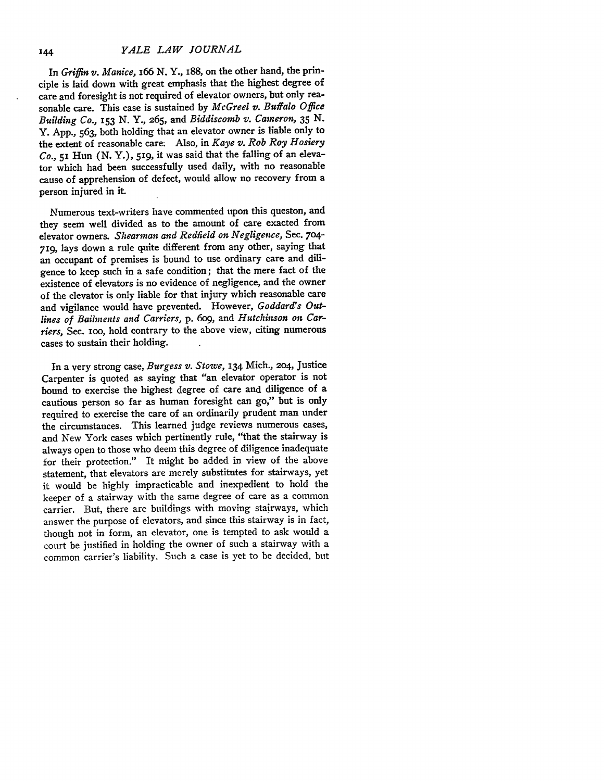In *Griffin v. Manice, 166* **N.** Y., 188, on the other hand, the principle is laid down with great emphasis that the highest degree of care and foresight is not required of elevator owners, but only reasonable care. This case is sustained **by** *McGreel v. Buffalo Office Building Co.,* 153 **N.** Y., 265, and *Biddiscomb v. Cameron,* 35 **N.** Y. App., 563, both holding that an elevator owner is liable only to the extent of reasonable care. Also, in *Kaye v. Rob Roy Hosiery Co.,* 51 Hun (N. Y.), **519,** it was said that the falling of an elevator which had been successfully used daily, with no reasonable cause of apprehension of defect, would allow no recovery from a person injured in it.

Numerous text-writers have commented upon this queston, and they seem well divided as to the amount of care exacted from elevator owners. *Shearman and Redfield on Negligence,* Sec. 7o4- 719, lays down a rule quite different from any other, saying that an occupant of premises is bound to use ordinary care and diligence to keep such in a safe condition; that the mere fact of the existence of elevators is no evidence of negligence, and the owner of the elevator is only liable for that injury which reasonable care and vigilance would have prevented. However, *Goddard's Outlines of Bailmnents and Carriers,* **p.** 6o9, and *Hutchinson on Carriers,* Sec. ioo, hold contrary to the above view, citing numerous cases to sustain their holding.

In a very strong case, *Burgess v. Stowe,* 134 Mich., 204, Justice Carpenter is quoted as saying that "an elevator operator is not bound to exercise the highest degree of care and diligence of a cautious person so far as human foresight can go," but is only required to exercise the care of an ordinarily prudent man under the circumstances. This learned judge reviews numerous cases, and New York cases which pertinently rule, "that the stairway is always open to those who deem this degree of diligence inadequate for their protection." It might be added in view of the above statement, that elevators are merely substitutes for stairways, yet it would be highly impracticable and inexpedient to hold the keeper of a stairway with the same degree of care as a common carrier. But, there are buildings with moving stairways, which answer the purpose of elevators, and since this stairway is in fact, though not in form, an elevator, one is tempted to ask would a court be justified in holding the owner of such a stairway with a common carrier's liability. Such a case is yet to be decided, but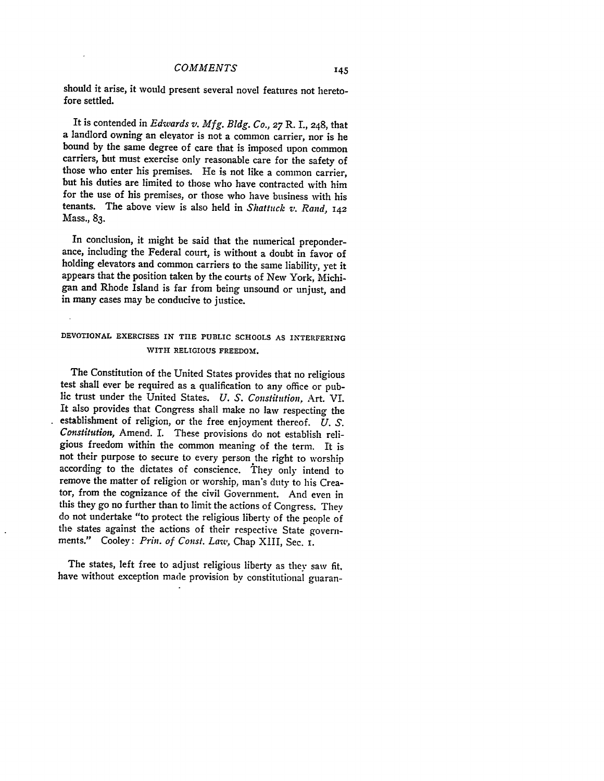should it arise, it would present several novel features not heretofore settled.

It is contended in *Edwards v. Mfg. Bldg. Co.,* **27** R. *L,* 248, that a landlord owning an elevator is not a common carrier, nor is he bound **by** the same degree of care that is imposed upon common carriers, but must exercise only reasonable care for the safety of those who enter his premises. He is not like a common carrier, but his duties are limited to those who have contracted with him for the use of his premises, or those who have business with his tenants. The above view is also held in *Shattuck v. Rand,* **<sup>142</sup>** Mass., **83.**

In conclusion, it might be said that the numerical preponderance, including the Federal court, is without a doubt in favor of holding elevators and common carriers to the same liability, yet it appears that the position taken **by** the courts of New York, Michigan and Rhode Island is far from being unsound or unjust, and in many cases may be conducive to justice.

## **DEVOTIONAL EXERCISES IN TIIE PUBLIC SCHOOLS AS INTERFERING** WITH **RELIGIOUS FREEDOM,**

The Constitution of the United States provides that no religious test shall ever be required as a qualification to any office or public trust under the United States. *U. S. Constitution,* Art. VI. It also provides that Congress shall make no law respecting the establishment of religion, or the free enjoyment thereof. *U. S. Constitution,* Amend. I. These provisions do not establish religious freedom within the common meaning of the term. It is not their purpose to secure to every person the right to worship according to the dictates of conscience. They only intend to remove the matter of religion or worship, man's duty to his Creator, from the cognizance of the civil Government. And even in this they go no further than to limit the actions of Congress. They do not undertake "to protect the religious liberty of the people of the states against the actions of their respective State governments." Cooley: *Prin. of Const. Lazv,* Chap XIII, Sec. **I.**

The states, left free to adjust religious liberty as they saw fit. have without exception made provision by constitutional guaran-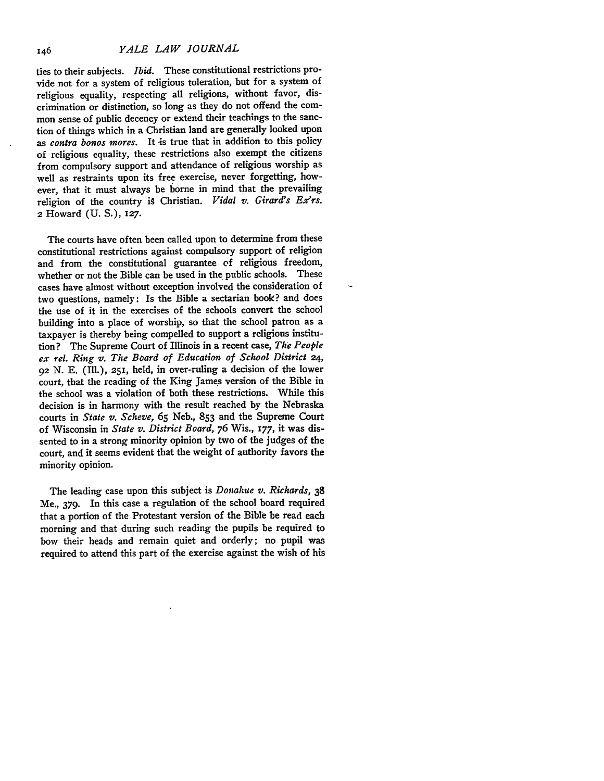ties to their subjects. *Ibid.* These constitutional restrictions provide not for a system of religious toleration, but for a system of religious equality, respecting all religions, without favor, discrimination or distinction, so long as they do not offend the common sense of public decency or extend their teachings to the sanction of things which in a Christian land are generally looked upon as *contra bonos mores.* It is true that in addition to this policy of religious equality, these restrictions also exempt the citizens from compulsory support and attendance of religious worship as well as restraints upon its free exercise, never forgetting, however, that it must always be borne in mind that the prevailing religion of the country ig Christian. *Vidal v. Girard's Ex'rs.* 2 Howard (U. S.), **127.**

The courts have often been called upon to determine from these constitutional restrictions against compulsory support of religion and from the constitutional guarantee **of** religious freedom, whether or not the Bible can be used in the public schools. These cases have almost without exception involved the consideration of two questions, namely: Is the Bible a sectarian book? and does the use of it in the exercises of the schools convert the school building into a place of worship, so that the school patron as a taxpayer is thereby being compelled to support a religious institution? The Supreme Court of Illinois in a recent case, *The People ex rel. Ring v. The Board of Education of School District 24,* 92 N. E. (Ill.), 251, held, in over-ruling a decision of the lower court, that the reading of the King James version of the Bible in the school was a violation of both these restrictions. While this decision is in harmony with the result reached by the Nebraska courts in *State v. Scheve,* 65 Neb., 853 and the Supreme Court of Wisconsin in *State v. District Board,* 76 Wis., 177, it was dissented to in a strong minority opinion by two of the judges of the court, and it seems evident that the weight of authority favors the minority opinion.

The leading case upon this subject is *Donahue v. Richards,* **38** Me., 379. In this case a regulation of the school board required that a portion of the Protestant version of the Bible be read each morning and that during such reading the pupils be required to bow their heads and remain quiet and orderly; no pupil was required to attend this part of the exercise against the wish of his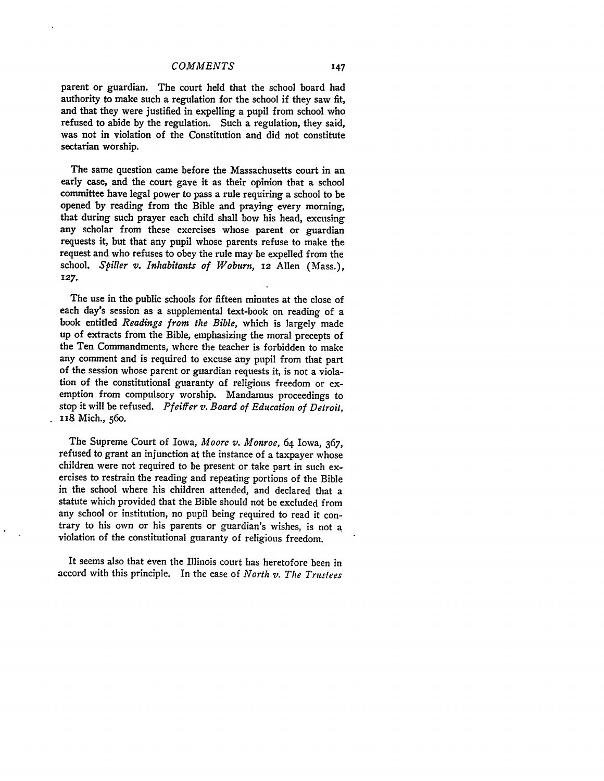parent or guardian. The court held that the school board had authority to make such a regulation for the school if they saw fit, and that they were justified in expelling a pupil from school who refused to abide **by** the regulation. Such a regulation, they said, was not in violation of the Constitution and did not constitute sectarian worship.

The same question came before the Massachusetts court in an early case, and the court gave it as their opinion that a school committee have legal power to pass a rule requiring a school to be opened by reading from the Bible and praying every morning, that during such prayer each child shall bow his head, excusing any scholar from these exercises whose parent or guardian requests it, but that any pupil whose parents refuse to make the request and who refuses to obey the rule may be expelled from the school. *Spiller v. Inhabitants of Woburn,* **12** Allen (Mass.), **127.**

The use in the public schools for fifteen minutes at the close of each day's session as a supplemental text-book on reading of a book entitled *Readings from the Bible,* which is largely made up of extracts from the Bible, emphasizing the moral precepts of the Ten Commandments, where the teacher is forbidden to make any comment and is required to excuse any pupil from that part of the session whose parent or guardian requests it, is not a violation of the constitutional guaranty of religious freedom or exemption from compulsory worship. Mandamus proceedings to stop it will be refused. *Pfeiffer v. Board of Education of Detroit,* 118 Mich., **56o.**

The Supreme Court of Iowa, *Moore v. Monroe,* 64 Iowa, **367,** refused to grant an injunction at the instance of a taxpayer whose children were not required to be present or take part in such exercises to restrain the reading and repeating portions of the Bible in the school where his children attended, and declared that a statute which provided that the Bible should not be excluded from any school or institution, no pupil being required to read it contrary to his own or his parents or guardian's wishes, is not a violation of the constitutional guaranty of religious freedom.

It seems also that even the Illinois court has heretofore been in accord with this principle. In the case of *North v. The Trustees*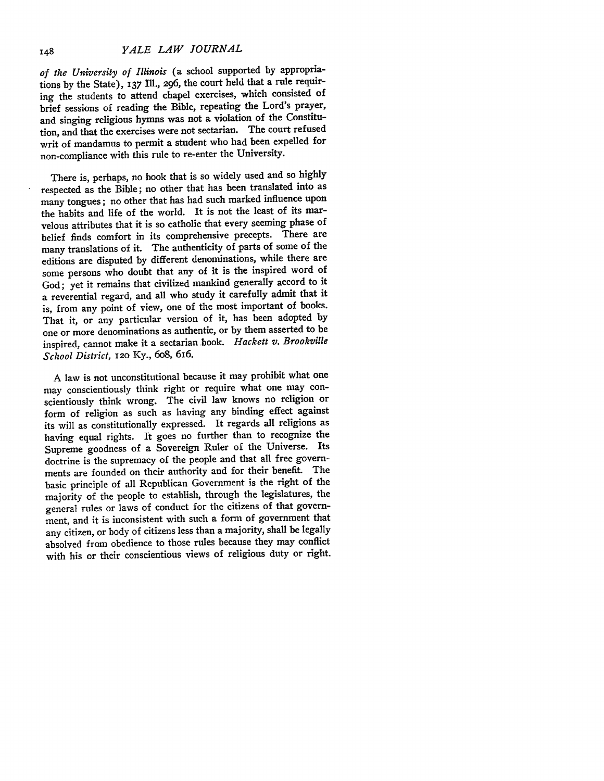*of the University of Illinois* (a school supported by appropriations by the State), **137** Ill., 296, the court held that a rule requiring the students to attend chapel exercises, which consisted of brief sessions of reading the Bible, repeating the Lord's prayer, and singing religious hymns was not a violation of the Constitution, and that the exercises were not sectarian. The court refused writ of mandamus to permit a student who had been expelled for non-compliance with this rule to re-enter the University.

There is, perhaps, no book that is so widely used and so highly respected as the Bible; no other that has been translated into as many tongues; no other that has had such marked influence upon the habits and life of the world. It is not the least of its marvelous attributes that it is so catholic that every seeming phase of belief finds comfort in its comprehensive precepts. There are many translations of it. The authenticity of parts of some of the editions are disputed by different denominations, while there are some persons who doubt that any of it is the inspired word of God; yet it remains that civilized mankind generally accord to it a reverential regard, and all who study it carefully admit that it is, from any point of view, one of the most important of books. That it, or any particular version of it, has been adopted by one or more denominations as authentic, or by them asserted to be inspired, cannot make it a sectarian .book. *Hackett v. Brookville School District, 12o* Ky., 6o8, 616.

A law is not unconstitutional because it may prohibit what one may conscientiously think right or require what one may conscientiously think wrong. The civil law knows no religion or form of religion as such as having any binding effect against its will as constitutionally expressed. It regards all religions as having equal rights. It goes no further than to recognize the Supreme goodness of a Sovereign Ruler of the Universe. Its doctrine is the supremacy of the people and that all free governments are founded on their authority and for their benefit. The basic principle of all Republican Government is the right of the majority of the people to establish, through the legislatures, the general rules or laws of conduct for the citizens of that government, and it is inconsistent with such a form of government that any citizen, or body of citizens less than a majority, shall be legally absolved from obedience to those rules because they may conflict with his or their conscientious views of religious duty or right.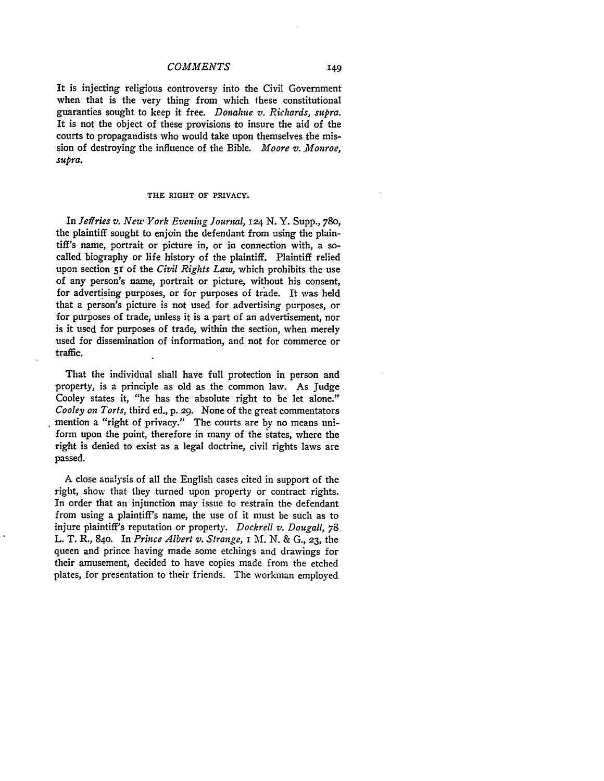It is injecting religious controversy into the Civil Government when that is the very thing from which these constitutional guaranties sought to keep it free. *Donahue v. Richards, supra.* It is not the object of these provisions to insure the aid of the courts to propagandists who would take upon themselves the mission of destroying the influence of the Bible. *Moore v..Monroe, supra.*

#### THE RIGHT OF PRIVACY.

In *Jeff ries v. Neu, York Evening Journal,* 124 N. Y. Supp., 780, the plaintiff sought to enjoin the defendant from using the plaintiff's name, portrait or picture in, or in connection with, a socalled biography or life history of the plaintiff. Plaintiff relied upon section 5r of the *Civil Rights Law,* which prohibits the use of any person's name, portrait or picture, without his consent, for advertising purposes, or for purposes of trade. It was held that a person's picture is not used for advertising purposes, or for purposes of trade, unless it is a part of an advertisement, nor is it used for purposes of trade, within the section, when merely used for dissemination of information, and not for commerce or traffic.

That the individual shall have full protection in person and property, is a principle as old as the common law. As Judge Cooley states it, "he has the absolute right to be let alone." *Cooley on Torts,* third ed., p. **29.** None of the great commentators mention a "right of privacy." The courts are **by** no means uniform upon the point, therefore in many of the states, where the right is denied to exist as a legal doctrine, civil rights laws are passed.

A close analysis of all the English cases cited in support of the right, show that they turned upon property or contract rights. In order that an injunction may issue to restrain the defendant from using a plaintiff's name, the use of it must be such as to injure plaintiff's reputation or property. *Dockrell v. Dougall, 78* L. T. R., 840. In *Prince Albert v. Strange,* I **Al. N.** & **G., 23,** the queen and prince having made some etchings and drawings for their amusement, decided to have copies made from the etched plates, for presentation to their friends. The workman employed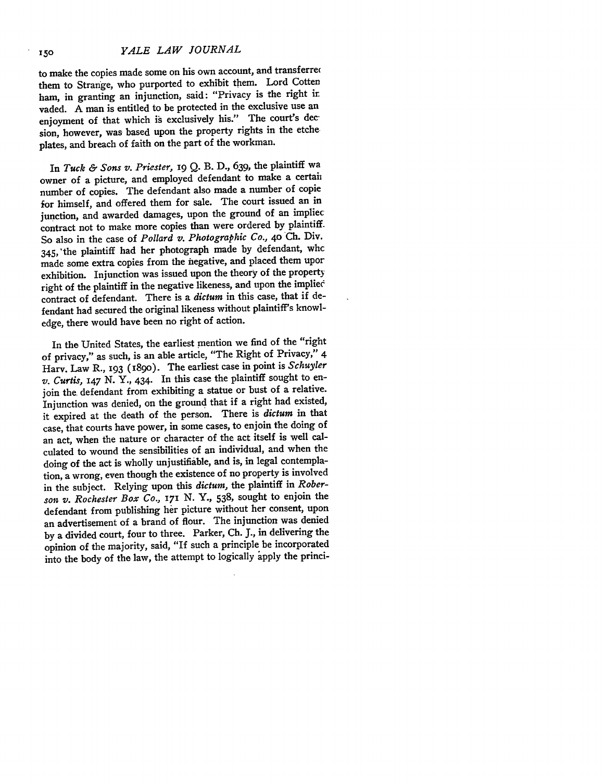to make the copies made some on his own account, and transferred them to Strange, who purported to exhibit them. Lord Cotten ham, in granting an injunction, said: "Privacy is the right ir. vaded. **A** man is entitled to be protected in the exclusive use an enjoyment of that which is exclusively his." The court's decsion, however, was based upon the property rights in the etche plates, and breach of faith on the part of the workman.

In *Tuck & Sons v. Priester,* **19 Q.** B. D., 639, the plaintiff wa owner of a picture, and employed defendant to make a certain number of copies. The defendant also made a number of copie for himself, and offered them for sale. The court issued an in junction, and awarded damages, upon the ground of an impliec contract not to make more copies than were ordered by plaintiff. So also in the case of *Pollard v. Photographic Co.,* **40** Ch. Div. 345,'the plaintiff had her photograph made by defendant, whc made some extra copies from the iegative, and placed them upor exhibition. Injunction was issued upon the theory of the property right of the plaintiff in the negative likeness, and upon the implied contract of defendant. There is a *dictum* in this case, that if defendant had secured the original likeness without plaintiff's knowledge, there would have been no right of action.

In the United States, the earliest mention we find of the "right of privacy," as such, is an able article, "The Right of Privacy," 4 Harv. Law R., **193** (189o). The earliest case in point is *Schuyler v. Curtis,* **147** N. Y., 434. In this case the plaintiff sought to enjoin the defendant from exhibiting a statue or bust of a relative. Injunction was denied, on the ground that if a right had existed, it expired at the death of the person. There is *dictum* in that case, that courts have power, in some cases, to enjoin the doing of an act, when the nature or character of the act itself is well calculated to wound the sensibilities of an individual, and when the doing of the act is wholly unjustifiable, and is, in legal contemplation, a wrong, even though the existence of no property is involved in the subject. Relying upon this *dictum,* the plaintiff in *Roberson v. Rochester Box Co., 71* N. Y., **538,** sought to enjoin the defendant from publishing her picture without her consent, upon an advertisement of a brand of flour. The injunction was denied **by** a divided court, four to three. Parker, Ch. J., in delivering the opinion of the majority, said, "If such a principle be incorporated into the body of the law, the attempt to logically apply the princi-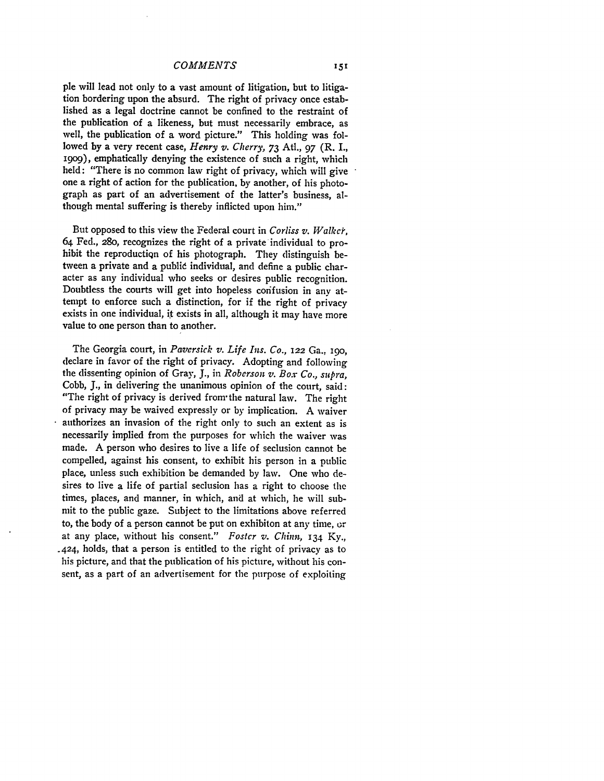ple will lead not only to a vast amount of litigation, but to litigation bordering upon the absurd. The right of privacy once established as a legal doctrine cannot be confined to the restraint of the publication of a likeness, but must necessarily embrace, as well, the publication of a word picture." This holding was followed **by** a very recent case, *Henry v. Cherry, 73* AtI., **97** (R. I., **I9O9),** emphatically denying the existence of such a right, which held: "There is no common law right of privacy, which will give one a right of action for the publication, **by** another, of his photograph as part of an advertisement of the latter's business, although mental suffering is thereby inflicted upon him."

But opposed to this view the Federal court in *Corliss v. W'alkei,* 64 Fed., 28o, recognizes the right of a private individual to prohibit the reproduction of his photograph. They distinguish between a private and a public individual, and define a public character as any individual who seeks or desires public recognition. Doubtless the courts will **get** into hopeless corifusion in any attempt to enforce such a distinction, for if the right of privacy exists in one individual, it exists in all, although it may have more value to one person than to another.

The Georgia court, in *Paversick v. Life Ins. Co.,* **122** Ga., **19O,** declare in favor of the right of privacy. Adopting and following the dissenting opinion of Gray, J., in *Roberson v. Box Co., supra,* Cobb, **J.,** in delivering the unanimous opinion of the court, said: "The right of privacy is derived from'the natural law. The right of privacy may be waived expressly or **by** implication. A waiver authorizes an invasion of the right only to such an extent as is necessarily implied from the purposes for which the waiver was made. A person who desires to live a life of seclusion cannot be compelled, against his consent, to exhibit his person in a public place, unless such exhibition be demanded **by** law. One who desires to live a life of partial seclusion has a right to choose the times, places, and manner, in which, and at which, he will submit to the public gaze. Subject to the limitations above referred to, the body of a person cannot be put on exhibiton at any time, or at any place, without his consent." *Foster v. Chinn,* **134** Ky., **.424,** holds, that a person is entitled to the right of privacy as to his picture, and that the publication of his picture, without his consent, as a part of an advertisement for the purpose of exploiting